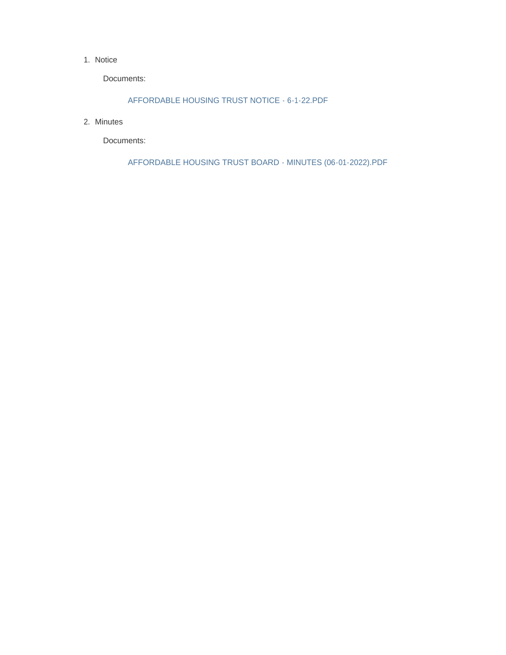#### 1. Notice

Documents:

AFFORDABLE HOUSING TRUST NOTICE - 6-1-22.PDF

2. Minutes

Documents:

AFFORDABLE HOUSING TRUST BOARD - MINUTES (06-01-2022).PDF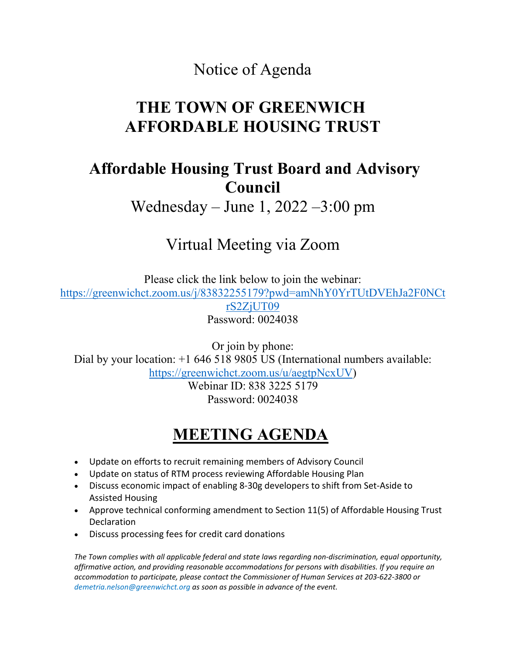#### Notice of Agenda

# **THE TOWN OF GREENWICH AFFORDABLE HOUSING TRUST**

### **Affordable Housing Trust Board and Advisory Council**

Wednesday – June 1, 2022 –3:00 pm

# Virtual Meeting via Zoom

Please click the link below to join the webinar: [https://greenwichct.zoom.us/j/83832255179?pwd=amNhY0YrTUtDVEhJa2F0NCt](https://greenwichct.zoom.us/j/83832255179?pwd=amNhY0YrTUtDVEhJa2F0NCtrS2ZjUT09) [rS2ZjUT09](https://greenwichct.zoom.us/j/83832255179?pwd=amNhY0YrTUtDVEhJa2F0NCtrS2ZjUT09) Password: 0024038

Or join by phone: Dial by your location:  $+1$  646 518 9805 US (International numbers available: [https://greenwichct.zoom.us/u/aegtpNcxUV\)](https://greenwichct.zoom.us/u/aegtpNcxUV)

Webinar ID: 838 3225 5179 Password: 0024038

# **MEETING AGENDA**

- Update on efforts to recruit remaining members of Advisory Council
- Update on status of RTM process reviewing Affordable Housing Plan
- Discuss economic impact of enabling 8-30g developers to shift from Set-Aside to Assisted Housing
- Approve technical conforming amendment to Section 11(5) of Affordable Housing Trust Declaration
- Discuss processing fees for credit card donations

*The Town complies with all applicable federal and state laws regarding non-discrimination, equal opportunity, affirmative action, and providing reasonable accommodations for persons with disabilities. If you require an accommodation to participate, please contact the Commissioner of Human Services at 203-622-3800 or demetria.nelson@greenwichct.org as soon as possible in advance of the event.*